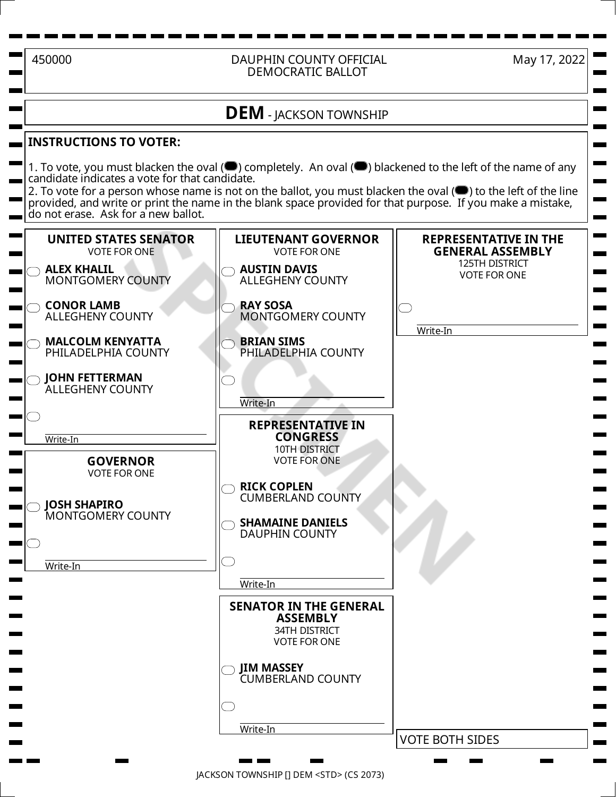## 450000 DAUPHIN COUNTY OFFICIAL DEMOCRATIC BALLOT

May 17, 2022

## **DEM** - JACKSON TOWNSHIP

## **INSTRUCTIONS TO VOTER:**

1. To vote, you must blacken the oval ( $\blacksquare$ ) completely. An oval ( $\blacksquare$ ) blackened to the left of the name of any candidate indicates a vote for that candidate.

2. To vote for a person whose name is not on the ballot, you must blacken the oval ( $\blacksquare$ ) to the left of the line provided, and write or print the name in the blank space provided for that purpose. If you make a mistake, do not erase. Ask for a new ballot.

| <b>UNITED STATES SENATOR</b><br><b>VOTE FOR ONE</b> | <b>LIEUTENANT GOVERNOR</b><br><b>VOTE FOR ONE</b>                                               | <b>REPRESENTATIVE IN THE</b><br><b>GENERAL ASSEMBLY</b> |
|-----------------------------------------------------|-------------------------------------------------------------------------------------------------|---------------------------------------------------------|
| <b>ALEX KHALIL</b><br><b>MONTGOMERY COUNTY</b>      | <b>AUSTIN DAVIS</b><br><b>ALLEGHENY COUNTY</b>                                                  | 125TH DISTRICT<br><b>VOTE FOR ONE</b>                   |
| <b>CONOR LAMB</b><br><b>ALLEGHENY COUNTY</b>        | <b>RAY SOSA</b><br><b>MONTGOMERY COUNTY</b>                                                     | Write-In                                                |
| <b>MALCOLM KENYATTA</b><br>PHILADELPHIA COUNTY      | <b>BRIAN SIMS</b><br>PHILADELPHIA COUNTY                                                        |                                                         |
| <b>JOHN FETTERMAN</b><br>ALLEGHENY COUNTY           | Write-In                                                                                        |                                                         |
| Write-In                                            | <b>REPRESENTATIVE IN</b><br><b>CONGRESS</b>                                                     |                                                         |
| <b>GOVERNOR</b><br><b>VOTE FOR ONE</b>              | 10TH DISTRICT<br><b>VOTE FOR ONE</b><br><b>RICK COPLEN</b>                                      |                                                         |
| <b>JOSH SHAPIRO</b><br>MONTGOMERY COUNTY            | <b>CUMBERLAND COUNTY</b><br><b>SHAMAINE DANIELS</b>                                             |                                                         |
|                                                     | <b>DAUPHIN COUNTY</b>                                                                           |                                                         |
| Write-In                                            | Write-In                                                                                        |                                                         |
|                                                     | <b>SENATOR IN THE GENERAL</b><br><b>ASSEMBLY</b><br><b>34TH DISTRICT</b><br><b>VOTE FOR ONE</b> |                                                         |
|                                                     | <b>JIM MASSEY</b><br><b>CUMBERLAND COUNTY</b>                                                   |                                                         |
|                                                     | Write-In                                                                                        |                                                         |
|                                                     |                                                                                                 | <b>VOTE BOTH SIDES</b>                                  |